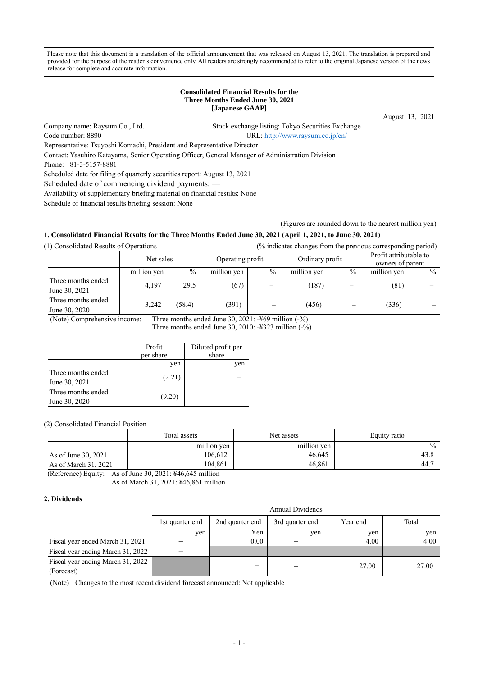Please note that this document is a translation of the official announcement that was released on August 13, 2021. The translation is prepared and provided for the purpose of the reader's convenience only. All readers are strongly recommended to refer to the original Japanese version of the news release for complete and accurate information.

#### **Consolidated Financial Results for the Three Months Ended June 30, 2021 [Japanese GAAP]**

August 13, 2021

Code number: 8890 URL[: http://www.raysum.co.jp/en/](http://www.raysum.co.jp/en/)

Company name: Raysum Co., Ltd. Stock exchange listing: Tokyo Securities Exchange

Representative: Tsuyoshi Komachi, President and Representative Director

Contact: Yasuhiro Katayama, Senior Operating Officer, General Manager of Administration Division

Phone: +81-3-5157-8881

Scheduled date for filing of quarterly securities report: August 13, 2021

Scheduled date of commencing dividend payments: —

Availability of supplementary briefing material on financial results: None

Schedule of financial results briefing session: None

(Figures are rounded down to the nearest million yen)

# **1. Consolidated Financial Results for the Three Months Ended June 30, 2021 (April 1, 2021, to June 30, 2021)**

(1) Consolidated Results of Operations (% indicates changes from the previous corresponding period)

|                                     |             | Operating profit<br>Net sales |             | Ordinary profit          |             | Profit attributable to<br>owners of parent |             |        |
|-------------------------------------|-------------|-------------------------------|-------------|--------------------------|-------------|--------------------------------------------|-------------|--------|
|                                     | million yen | $\%$                          | million yen | $\frac{0}{0}$            | million yen | $\%$                                       | million yen | $\%$ 1 |
| Three months ended<br>June 30, 2021 | 4.197       | 29.5                          | (67)        | $\overline{\phantom{0}}$ | (187)       | $\overline{\phantom{m}}$                   | (81)        |        |
| Three months ended<br>June 30, 2020 | 3,242       | (58.4)                        | (391)       |                          | (456)       | –                                          | (336)       |        |

(Note) Comprehensive income: Three months ended June 30, 2021: -¥69 million (-%)

Three months ended June 30, 2010: -¥323 million (-%)

|                                     | Profit<br>per share | Diluted profit per<br>share |
|-------------------------------------|---------------------|-----------------------------|
|                                     | yen                 | yen                         |
| Three months ended<br>June 30, 2021 | (2.21)              |                             |
| Three months ended<br>June 30, 2020 | (9.20)              |                             |

(2) Consolidated Financial Position

|                       | Total assets | Net assets  | Equity ratio |
|-----------------------|--------------|-------------|--------------|
|                       | million yen  | million yen | $\%$         |
| As of June 30, $2021$ | 106.612      | 46,645      | 43.8         |
| As of March $31,2021$ | 104.861      | 46.861      | 44.7         |

(Reference) Equity: As of June 30, 2021: ¥46,645 million As of March 31, 2021: ¥46,861 million

## **2. Dividends**

|                                   |                 | Annual Dividends                                        |     |       |       |  |  |  |
|-----------------------------------|-----------------|---------------------------------------------------------|-----|-------|-------|--|--|--|
|                                   | 1st quarter end | Year end<br>Total<br>2nd quarter end<br>3rd quarter end |     |       |       |  |  |  |
|                                   | ven             | Yen                                                     | yen | yen   | yen   |  |  |  |
| Fiscal year ended March 31, 2021  |                 | 0.00                                                    |     | 4.00  | 4.00  |  |  |  |
| Fiscal year ending March 31, 2022 |                 |                                                         |     |       |       |  |  |  |
| Fiscal year ending March 31, 2022 |                 | —                                                       |     | 27.00 | 27.00 |  |  |  |
| (Forecast)                        |                 |                                                         |     |       |       |  |  |  |

(Note) Changes to the most recent dividend forecast announced: Not applicable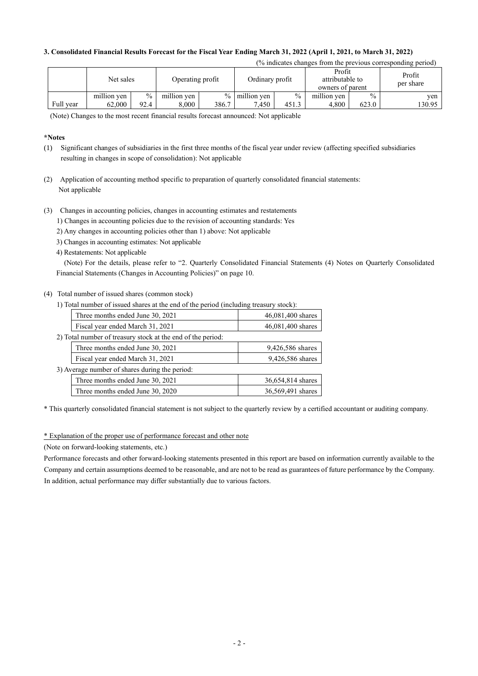## **3. Consolidated Financial Results Forecast for the Fiscal Year Ending March 31, 2022 (April 1, 2021, to March 31, 2022)**

| (% indicates changes from the previous corresponding period) |             |               |                  |       |                  |               |                                               |               |                     |
|--------------------------------------------------------------|-------------|---------------|------------------|-------|------------------|---------------|-----------------------------------------------|---------------|---------------------|
|                                                              | Net sales   |               | Operating profit |       | Ordinary profit  |               | Profit<br>attributable to<br>owners of parent |               | Profit<br>per share |
|                                                              | million yen | $\frac{0}{0}$ | million yen      |       | $\%$ million yen | $\frac{0}{0}$ | million yen                                   | $\frac{0}{0}$ | ven                 |
| Full year                                                    | 62,000      | 92.4          | 8.000            | 386.7 | 7.450            | 451.3         | 4.800                                         | 623.0         | 130.95              |

(Note) Changes to the most recent financial results forecast announced: Not applicable

### **\*Notes**

- (1) Significant changes of subsidiaries in the first three months of the fiscal year under review (affecting specified subsidiaries resulting in changes in scope of consolidation): Not applicable
- (2) Application of accounting method specific to preparation of quarterly consolidated financial statements: Not applicable
- (3) Changes in accounting policies, changes in accounting estimates and restatements
	- 1) Changes in accounting policies due to the revision of accounting standards: Yes
	- 2) Any changes in accounting policies other than 1) above: Not applicable
	- 3) Changes in accounting estimates: Not applicable
	- 4) Restatements: Not applicable

(Note) For the details, please refer to "2. Quarterly Consolidated Financial Statements (4) Notes on Quarterly Consolidated Financial Statements (Changes in Accounting Policies)" on page 10.

## (4) Total number of issued shares (common stock)

| 1) Total number of issued shares at the end of the period (including treasury stock): |
|---------------------------------------------------------------------------------------|
| 46,081,400 shares                                                                     |
| 46,081,400 shares                                                                     |
|                                                                                       |
| 9,426,586 shares                                                                      |
| 9,426,586 shares                                                                      |
|                                                                                       |
| 36,654,814 shares                                                                     |
| 36,569,491 shares                                                                     |
|                                                                                       |

\* This quarterly consolidated financial statement is not subject to the quarterly review by a certified accountant or auditing company.

\* Explanation of the proper use of performance forecast and other note

(Note on forward-looking statements, etc.)

Performance forecasts and other forward-looking statements presented in this report are based on information currently available to the Company and certain assumptions deemed to be reasonable, and are not to be read as guarantees of future performance by the Company. In addition, actual performance may differ substantially due to various factors.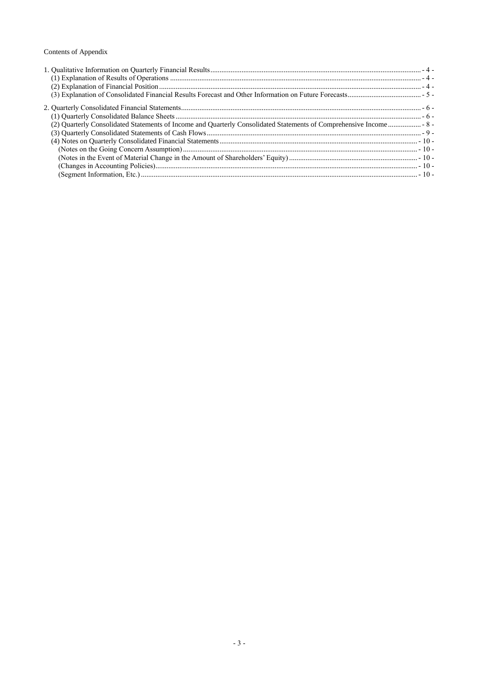# Contents of Appendix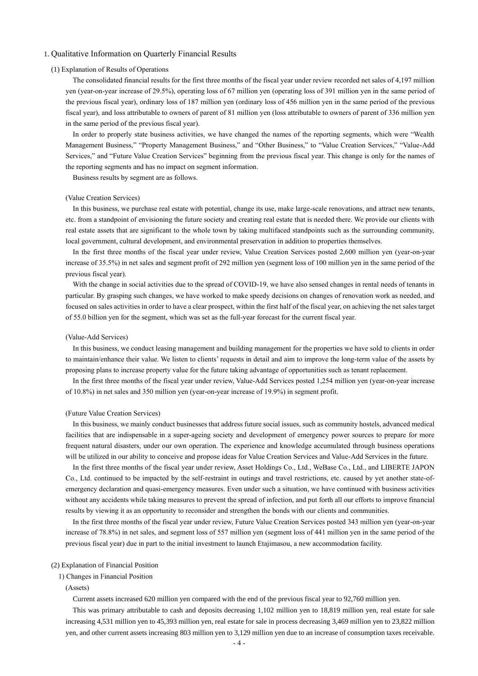#### <span id="page-3-1"></span><span id="page-3-0"></span>1. Qualitative Information on Quarterly Financial Results

#### (1) Explanation of Results of Operations

The consolidated financial results for the first three months of the fiscal year under review recorded net sales of 4,197 million yen (year-on-year increase of 29.5%), operating loss of 67 million yen (operating loss of 391 million yen in the same period of the previous fiscal year), ordinary loss of 187 million yen (ordinary loss of 456 million yen in the same period of the previous fiscal year), and loss attributable to owners of parent of 81 million yen (loss attributable to owners of parent of 336 million yen in the same period of the previous fiscal year).

In order to properly state business activities, we have changed the names of the reporting segments, which were "Wealth Management Business," "Property Management Business," and "Other Business," to "Value Creation Services," "Value-Add Services," and "Future Value Creation Services" beginning from the previous fiscal year. This change is only for the names of the reporting segments and has no impact on segment information.

Business results by segment are as follows.

#### (Value Creation Services)

In this business, we purchase real estate with potential, change its use, make large-scale renovations, and attract new tenants, etc. from a standpoint of envisioning the future society and creating real estate that is needed there. We provide our clients with real estate assets that are significant to the whole town by taking multifaced standpoints such as the surrounding community, local government, cultural development, and environmental preservation in addition to properties themselves.

In the first three months of the fiscal year under review, Value Creation Services posted 2,600 million yen (year-on-year increase of 35.5%) in net sales and segment profit of 292 million yen (segment loss of 100 million yen in the same period of the previous fiscal year).

With the change in social activities due to the spread of COVID-19, we have also sensed changes in rental needs of tenants in particular. By grasping such changes, we have worked to make speedy decisions on changes of renovation work as needed, and focused on sales activities in order to have a clear prospect, within the first half of the fiscal year, on achieving the net sales target of 55.0 billion yen for the segment, which was set as the full-year forecast for the current fiscal year.

#### (Value-Add Services)

In this business, we conduct leasing management and building management for the properties we have sold to clients in order to maintain/enhance their value. We listen to clients' requests in detail and aim to improve the long-term value of the assets by proposing plans to increase property value for the future taking advantage of opportunities such as tenant replacement.

In the first three months of the fiscal year under review, Value-Add Services posted 1,254 million yen (year-on-year increase of 10.8%) in net sales and 350 million yen (year-on-year increase of 19.9%) in segment profit.

#### (Future Value Creation Services)

In this business, we mainly conduct businesses that address future social issues, such as community hostels, advanced medical facilities that are indispensable in a super-ageing society and development of emergency power sources to prepare for more frequent natural disasters, under our own operation. The experience and knowledge accumulated through business operations will be utilized in our ability to conceive and propose ideas for Value Creation Services and Value-Add Services in the future.

In the first three months of the fiscal year under review, Asset Holdings Co., Ltd., WeBase Co., Ltd., and LIBERTE JAPON Co., Ltd. continued to be impacted by the self-restraint in outings and travel restrictions, etc. caused by yet another state-ofemergency declaration and quasi-emergency measures. Even under such a situation, we have continued with business activities without any accidents while taking measures to prevent the spread of infection, and put forth all our efforts to improve financial results by viewing it as an opportunity to reconsider and strengthen the bonds with our clients and communities.

In the first three months of the fiscal year under review, Future Value Creation Services posted 343 million yen (year-on-year increase of 78.8%) in net sales, and segment loss of 557 million yen (segment loss of 441 million yen in the same period of the previous fiscal year) due in part to the initial investment to launch Etajimasou, a new accommodation facility.

#### <span id="page-3-2"></span>(2) Explanation of Financial Position

#### 1) Changes in Financial Position

(Assets)

Current assets increased 620 million yen compared with the end of the previous fiscal year to 92,760 million yen.

This was primary attributable to cash and deposits decreasing 1,102 million yen to 18,819 million yen, real estate for sale increasing 4,531 million yen to 45,393 million yen, real estate for sale in process decreasing 3,469 million yen to 23,822 million yen, and other current assets increasing 803 million yen to 3,129 million yen due to an increase of consumption taxes receivable.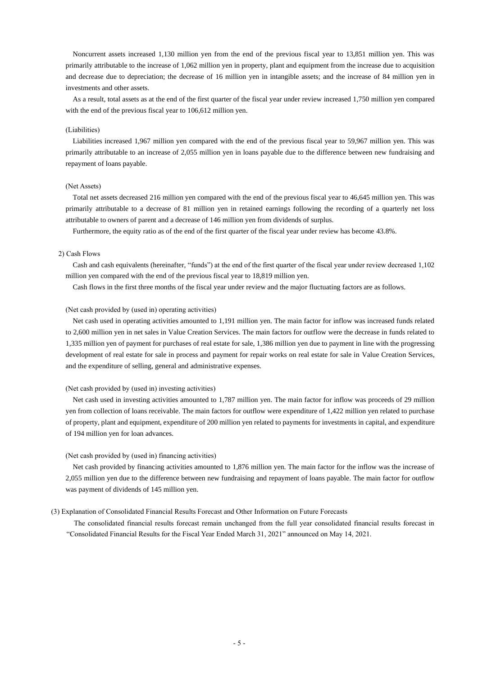Noncurrent assets increased 1,130 million yen from the end of the previous fiscal year to 13,851 million yen. This was primarily attributable to the increase of 1,062 million yen in property, plant and equipment from the increase due to acquisition and decrease due to depreciation; the decrease of 16 million yen in intangible assets; and the increase of 84 million yen in investments and other assets.

As a result, total assets as at the end of the first quarter of the fiscal year under review increased 1,750 million yen compared with the end of the previous fiscal year to 106,612 million yen.

#### (Liabilities)

Liabilities increased 1,967 million yen compared with the end of the previous fiscal year to 59,967 million yen. This was primarily attributable to an increase of 2,055 million yen in loans payable due to the difference between new fundraising and repayment of loans payable.

#### (Net Assets)

Total net assets decreased 216 million yen compared with the end of the previous fiscal year to 46,645 million yen. This was primarily attributable to a decrease of 81 million yen in retained earnings following the recording of a quarterly net loss attributable to owners of parent and a decrease of 146 million yen from dividends of surplus.

Furthermore, the equity ratio as of the end of the first quarter of the fiscal year under review has become 43.8%.

#### 2) Cash Flows

Cash and cash equivalents (hereinafter, "funds") at the end of the first quarter of the fiscal year under review decreased 1,102 million yen compared with the end of the previous fiscal year to 18,819 million yen.

Cash flows in the first three months of the fiscal year under review and the major fluctuating factors are as follows.

#### (Net cash provided by (used in) operating activities)

Net cash used in operating activities amounted to 1,191 million yen. The main factor for inflow was increased funds related to 2,600 million yen in net sales in Value Creation Services. The main factors for outflow were the decrease in funds related to 1,335 million yen of payment for purchases of real estate for sale, 1,386 million yen due to payment in line with the progressing development of real estate for sale in process and payment for repair works on real estate for sale in Value Creation Services, and the expenditure of selling, general and administrative expenses.

#### (Net cash provided by (used in) investing activities)

Net cash used in investing activities amounted to 1,787 million yen. The main factor for inflow was proceeds of 29 million yen from collection of loans receivable. The main factors for outflow were expenditure of 1,422 million yen related to purchase of property, plant and equipment, expenditure of 200 million yen related to payments for investments in capital, and expenditure of 194 million yen for loan advances.

#### (Net cash provided by (used in) financing activities)

Net cash provided by financing activities amounted to 1,876 million yen. The main factor for the inflow was the increase of 2,055 million yen due to the difference between new fundraising and repayment of loans payable. The main factor for outflow was payment of dividends of 145 million yen.

#### <span id="page-4-0"></span>(3) Explanation of Consolidated Financial Results Forecast and Other Information on Future Forecasts

The consolidated financial results forecast remain unchanged from the full year consolidated financial results forecast in "Consolidated Financial Results for the Fiscal Year Ended March 31, 2021" announced on May 14, 2021.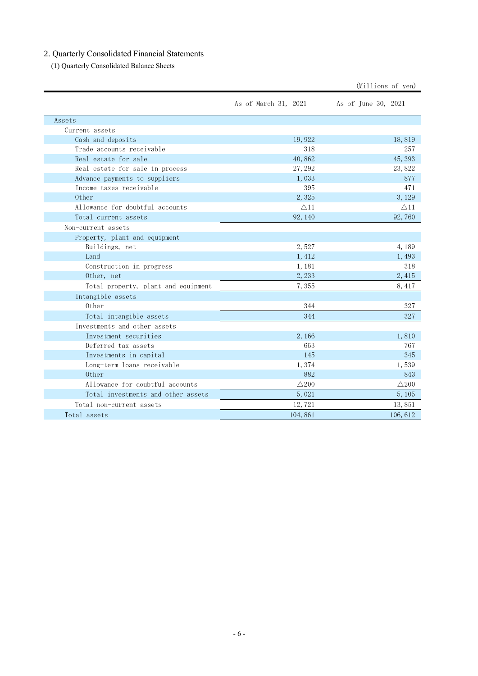# <span id="page-5-0"></span>2. Quarterly Consolidated Financial Statements

<span id="page-5-1"></span>(1) Quarterly Consolidated Balance Sheets

|                                     |                      | (Millions of yen)   |
|-------------------------------------|----------------------|---------------------|
|                                     | As of March 31, 2021 | As of June 30, 2021 |
| Assets                              |                      |                     |
| Current assets                      |                      |                     |
| Cash and deposits                   | 19,922               | 18,819              |
| Trade accounts receivable           | 318                  | 257                 |
| Real estate for sale                | 40,862               | 45, 393             |
| Real estate for sale in process     | 27, 292              | 23,822              |
| Advance payments to suppliers       | 1,033                | 877                 |
| Income taxes receivable             | 395                  | 471                 |
| Other                               | 2,325                | 3, 129              |
| Allowance for doubtful accounts     | $\triangle$ 11       | $\triangle$ 11      |
| Total current assets                | 92, 140              | 92,760              |
| Non-current assets                  |                      |                     |
| Property, plant and equipment       |                      |                     |
| Buildings, net                      | 2,527                | 4,189               |
| Land                                | 1, 412               | 1,493               |
| Construction in progress            | 1, 181               | 318                 |
| Other, net                          | 2,233                | 2,415               |
| Total property, plant and equipment | 7,355                | 8, 417              |
| Intangible assets                   |                      |                     |
| Other                               | 344                  | 327                 |
| Total intangible assets             | 344                  | 327                 |
| Investments and other assets        |                      |                     |
| Investment securities               | 2,166                | 1,810               |
| Deferred tax assets                 | 653                  | 767                 |
| Investments in capital              | 145                  | 345                 |
| Long-term loans receivable          | 1,374                | 1,539               |
| 0ther                               | 882                  | 843                 |
| Allowance for doubtful accounts     | $\triangle$ 200      | $\triangle$ 200     |
| Total investments and other assets  | 5,021                | 5, 105              |
| Total non-current assets            | 12,721               | 13,851              |
| Total assets                        | 104,861              | 106, 612            |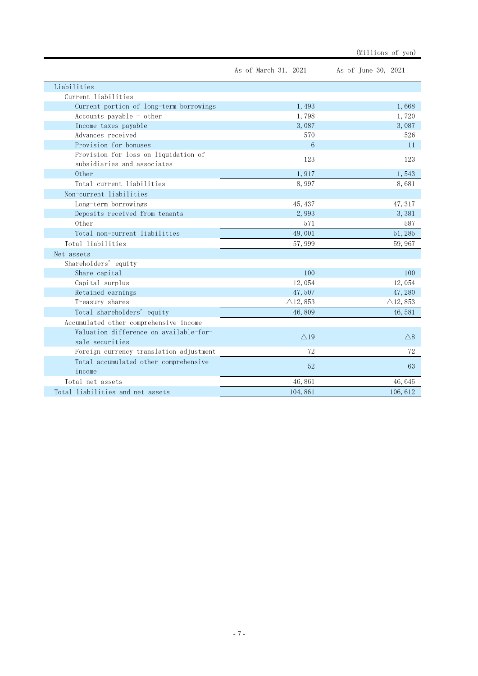|                                                                     | As of March 31, 2021 | As of June 30, 2021 |
|---------------------------------------------------------------------|----------------------|---------------------|
| Liabilities                                                         |                      |                     |
| Current liabilities                                                 |                      |                     |
| Current portion of long-term borrowings                             | 1,493                | 1,668               |
| Accounts payable $-$ other                                          | 1,798                | 1,720               |
| Income taxes payable                                                | 3,087                | 3,087               |
| Advances received                                                   | 570                  | 526                 |
| Provision for bonuses                                               | 6                    | 11                  |
| Provision for loss on liquidation of<br>subsidiaries and associates | 123                  | 123                 |
| 0ther                                                               | 1,917                | 1,543               |
| Total current liabilities                                           | 8,997                | 8,681               |
| Non-current liabilities                                             |                      |                     |
| Long-term borrowings                                                | 45, 437              | 47, 317             |
| Deposits received from tenants                                      | 2,993                | 3,381               |
| 0ther                                                               | 571                  | 587                 |
| Total non-current liabilities                                       | 49,001               | 51, 285             |
| Total liabilities                                                   | 57,999               | 59,967              |
| Net assets                                                          |                      |                     |
| Shareholders' equity                                                |                      |                     |
| Share capital                                                       | 100                  | 100                 |
| Capital surplus                                                     | 12,054               | 12,054              |
| Retained earnings                                                   | 47,507               | 47,280              |
| Treasury shares                                                     | $\triangle$ 12, 853  | $\triangle$ 12, 853 |
| Total shareholders' equity                                          | 46,809               | 46,581              |
| Accumulated other comprehensive income                              |                      |                     |
| Valuation difference on available-for-<br>sale securities           | $\triangle$ 19       | $\wedge$ 8          |
| Foreign currency translation adjustment                             | 72                   | 72                  |
| Total accumulated other comprehensive<br>income                     | 52                   | 63                  |
| Total net assets                                                    | 46,861               | 46,645              |
| Total liabilities and net assets                                    | 104,861              | 106,612             |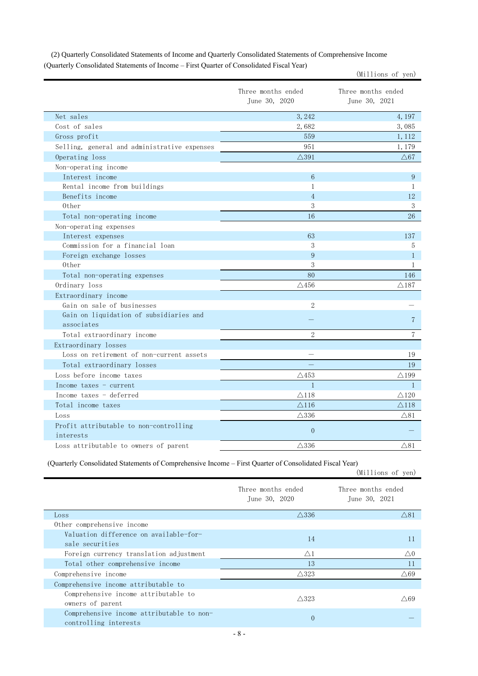|                                                     | Three months ended<br>June 30, 2020 | Three months ended<br>June 30, 2021 |
|-----------------------------------------------------|-------------------------------------|-------------------------------------|
| Net sales                                           | 3, 242                              | 4, 197                              |
| Cost of sales                                       | 2,682                               | 3,085                               |
| Gross profit                                        | 559                                 | 1, 112                              |
| Selling, general and administrative expenses        | 951                                 | 1,179                               |
| Operating loss                                      | $\triangle 391$                     | $\triangle 67$                      |
| Non-operating income                                |                                     |                                     |
| Interest income                                     | $6\overline{6}$                     | 9                                   |
| Rental income from buildings                        | 1                                   | 1                                   |
| Benefits income                                     | $\overline{4}$                      | 12                                  |
| 0ther                                               | 3                                   | 3                                   |
| Total non-operating income                          | 16                                  | 26                                  |
| Non-operating expenses                              |                                     |                                     |
| Interest expenses                                   | 63                                  | 137                                 |
| Commission for a financial loan                     | 3                                   | 5                                   |
| Foreign exchange losses                             | 9                                   | $\mathbf{1}$                        |
| 0ther                                               | 3                                   | $\mathbf{1}$                        |
| Total non-operating expenses                        | 80                                  | 146                                 |
| Ordinary loss                                       | $\triangle$ 456                     | $\triangle 187$                     |
| Extraordinary income                                |                                     |                                     |
| Gain on sale of businesses                          | $\overline{2}$                      |                                     |
| Gain on liquidation of subsidiaries and             |                                     | 7                                   |
| associates                                          |                                     |                                     |
| Total extraordinary income                          | $\overline{2}$                      | $\overline{7}$                      |
| Extraordinary losses                                |                                     |                                     |
| Loss on retirement of non-current assets            |                                     | 19                                  |
| Total extraordinary losses                          |                                     | 19                                  |
| Loss before income taxes                            | $\triangle$ 453                     | $\triangle$ 199                     |
| Income taxes - current                              | $\mathbf{1}$                        | $\mathbf{1}$                        |
| Income taxes - deferred                             | $\triangle$ 118                     | $\triangle$ 120                     |
| Total income taxes                                  | $\triangle$ 116                     | $\triangle$ 118                     |
| Loss                                                | $\triangle$ 336                     | $\triangle$ 81                      |
| Profit attributable to non-controlling<br>interests | $\mathbf{0}$                        |                                     |
| Loss attributable to owners of parent               | $\triangle$ 336                     | $\triangle$ 81                      |

<span id="page-7-0"></span>(2) Quarterly Consolidated Statements of Income and Quarterly Consolidated Statements of Comprehensive Income (Quarterly Consolidated Statements of Income – First Quarter of Consolidated Fiscal Year)

(Millions of yen)

(Quarterly Consolidated Statements of Comprehensive Income – First Quarter of Consolidated Fiscal Year)

|                                                                    |                                     | (Millions of yen)                   |
|--------------------------------------------------------------------|-------------------------------------|-------------------------------------|
|                                                                    | Three months ended<br>June 30, 2020 | Three months ended<br>June 30, 2021 |
| Loss                                                               | $\triangle$ 336                     | $\triangle$ 81                      |
| Other comprehensive income                                         |                                     |                                     |
| Valuation difference on available-for-<br>sale securities          | 14                                  | 11                                  |
| Foreign currency translation adjustment                            | $\triangle$ 1                       | $\triangle 0$                       |
| Total other comprehensive income                                   | 13                                  | 11                                  |
| Comprehensive income                                               | $\triangle$ 323                     | $\triangle$ 69                      |
| Comprehensive income attributable to                               |                                     |                                     |
| Comprehensive income attributable to<br>owners of parent           | $\triangle$ 323                     | $\triangle$ 69                      |
| Comprehensive income attributable to non-<br>controlling interests | $\theta$                            |                                     |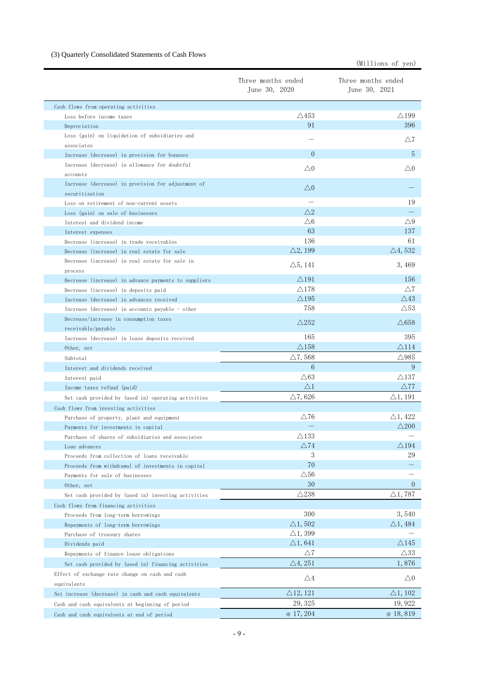# <span id="page-8-0"></span>(3) Quarterly Consolidated Statements of Cash Flows

(Millions of yen)

|                                                                      | Three months ended<br>June 30, 2020 | Three months ended<br>June 30, 2021 |
|----------------------------------------------------------------------|-------------------------------------|-------------------------------------|
| Cash flows from operating activities                                 |                                     |                                     |
| Loss before income taxes                                             | $\triangle$ 453                     | $\triangle$ 199                     |
| Depreciation                                                         | 91                                  | 396                                 |
| Loss (gain) on liquidation of subsidiaries and<br>associates         |                                     | $\triangle7$                        |
| Increase (decrease) in provision for bonuses                         | $\overline{0}$                      | 5                                   |
| Increase (decrease) in allowance for doubtful                        |                                     |                                     |
| accounts                                                             | $\triangle 0$                       | $\triangle 0$                       |
| Increase (decrease) in provision for adjustment of<br>securitization | $\triangle 0$                       |                                     |
| Loss on retirement of non-current assets                             |                                     | 19                                  |
| Loss (gain) on sale of businesses                                    | $\triangle$ 2                       |                                     |
| Interest and dividend income                                         | $\triangle 6$                       | $\triangle$ 9                       |
| Interest expenses                                                    | 63                                  | 137                                 |
| Decrease (increase) in trade receivables                             | 136                                 | 61                                  |
| Decrease (increase) in real estate for sale                          | $\triangle 2$ , 199                 | $\triangle$ 4, 532                  |
| Decrease (increase) in real estate for sale in<br>process            | $\triangle 5, 141$                  | 3,469                               |
| Decrease (increase) in advance payments to suppliers                 | $\triangle$ 191                     | 156                                 |
| Decrease (increase) in deposits paid                                 | $\triangle$ 178                     | $\triangle 7$                       |
| Increase (decrease) in advances received                             | $\triangle$ 195                     | $\triangle$ 43                      |
| Increase (decrease) in accounts payable - other                      | 758                                 | $\triangle$ 53                      |
| Decrease/increase in consumption taxes                               |                                     |                                     |
| receivable/payable                                                   | $\triangle$ 252                     | $\triangle 658$                     |
| Increase (decrease) in lease deposits received                       | 165                                 | 395                                 |
| Other, net                                                           | $\triangle$ 158                     | $\triangle$ 114                     |
| Subtotal                                                             | $\triangle$ 7, 568                  | $\triangle$ 985                     |
| Interest and dividends received                                      | 6                                   | 9                                   |
| Interest paid                                                        | $\triangle63$                       | $\triangle$ 137                     |
| Income taxes refund (paid)                                           | $\triangle 1$                       | $\triangle 77$                      |
| Net cash provided by (used in) operating activities                  | $\bigtriangleup 7$ , 626            | $\bigtriangleup 1$ , 191            |
|                                                                      |                                     |                                     |
| Cash flows from investing activities                                 | $\triangle$ 76                      | $\triangle$ 1, 422                  |
| Purchase of property, plant and equipment                            |                                     | $\triangle$ 200                     |
| Payments for investments in capital                                  | $\triangle 133$                     |                                     |
| Purchase of shares of subsidiaries and associates<br>Loan advances   | $\triangle$ 74                      | $\triangle$ 194                     |
| Proceeds from collection of loans receivable                         | 3                                   | 29                                  |
| Proceeds from withdrawal of investments in capital                   | 70                                  |                                     |
| Payments for sale of businesses                                      | $\triangle$ 56                      |                                     |
| Other, net                                                           | 30                                  | $\overline{0}$                      |
| Net cash provided by (used in) investing activities                  | $\triangle$ 238                     | $\triangle$ 1, 787                  |
| Cash flows from financing activities                                 |                                     |                                     |
| Proceeds from long-term borrowings                                   | 300                                 | 3,540                               |
| Repayments of long-term borrowings                                   | $\triangle$ 1, 502                  | $\triangle$ 1, 484                  |
| Purchase of treasury shares                                          | $\triangle$ 1, 399                  |                                     |
| Dividends paid                                                       | $\triangle$ 1, 641                  | $\triangle$ 145                     |
| Repayments of finance lease obligations                              | $\triangle 7$                       | $\triangle 33$                      |
| Net cash provided by (used in) financing activities                  | $\triangle 4, 251$                  | 1,876                               |
| Effect of exchange rate change on cash and cash                      |                                     |                                     |
| equivalents                                                          | $\triangle 4$                       | $\triangle 0$                       |
| Net increase (decrease) in cash and cash equivalents                 | $\triangle$ 12, 121                 | $\triangle$ 1, 102                  |
| Cash and cash equivalents at beginning of period                     | 29, 325                             | 19, 922                             |
| Cash and cash equivalents at end of period                           | $\frac{1}{2}$ 17, 204               | $*18,819$                           |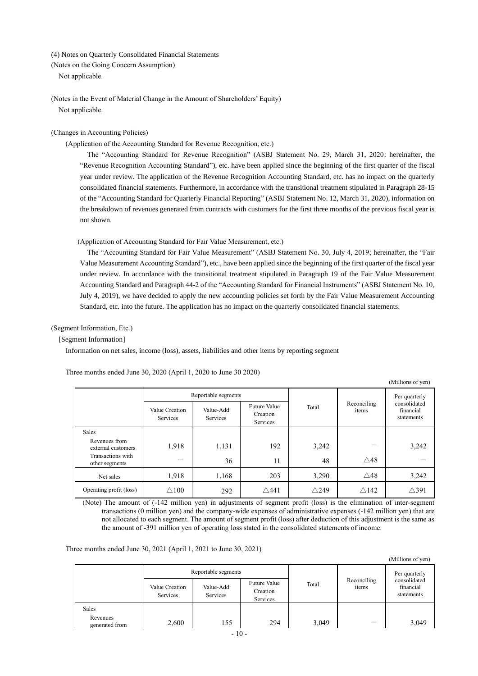<span id="page-9-0"></span>(4) Notes on Quarterly Consolidated Financial Statements

<span id="page-9-1"></span>(Notes on the Going Concern Assumption)

Not applicable.

<span id="page-9-2"></span>(Notes in the Event of Material Change in the Amount of Shareholders' Equity) Not applicable.

#### <span id="page-9-3"></span>(Changes in Accounting Policies)

(Application of the Accounting Standard for Revenue Recognition, etc.)

The "Accounting Standard for Revenue Recognition" (ASBJ Statement No. 29, March 31, 2020; hereinafter, the "Revenue Recognition Accounting Standard"), etc. have been applied since the beginning of the first quarter of the fiscal year under review. The application of the Revenue Recognition Accounting Standard, etc. has no impact on the quarterly consolidated financial statements. Furthermore, in accordance with the transitional treatment stipulated in Paragraph 28-15 of the "Accounting Standard for Quarterly Financial Reporting" (ASBJ Statement No. 12, March 31, 2020), information on the breakdown of revenues generated from contracts with customers for the first three months of the previous fiscal year is not shown.

(Application of Accounting Standard for Fair Value Measurement, etc.)

The "Accounting Standard for Fair Value Measurement" (ASBJ Statement No. 30, July 4, 2019; hereinafter, the "Fair Value Measurement Accounting Standard"), etc., have been applied since the beginning of the first quarter of the fiscal year under review. In accordance with the transitional treatment stipulated in Paragraph 19 of the Fair Value Measurement Accounting Standard and Paragraph 44-2 of the "Accounting Standard for Financial Instruments" (ASBJ Statement No. 10, July 4, 2019), we have decided to apply the new accounting policies set forth by the Fair Value Measurement Accounting Standard, etc. into the future. The application has no impact on the quarterly consolidated financial statements.

#### <span id="page-9-4"></span>(Segment Information, Etc.)

[Segment Information]

Information on net sales, income (loss), assets, liabilities and other items by reporting segment

Three months ended June 30, 2020 (April 1, 2020 to June 30 2020)

|                                     | Value Creation<br><b>Services</b> | Reportable segments<br>Value-Add<br>Services | <b>Future Value</b><br>Creation<br>Services | Total           | Reconciling<br>items | Per quarterly<br>consolidated<br>financial<br>statements |
|-------------------------------------|-----------------------------------|----------------------------------------------|---------------------------------------------|-----------------|----------------------|----------------------------------------------------------|
| Sales                               |                                   |                                              |                                             |                 |                      |                                                          |
| Revenues from<br>external customers | 1,918                             | 1,131                                        | 192                                         | 3,242           |                      | 3,242                                                    |
| Transactions with<br>other segments |                                   | 36                                           | 11                                          | 48              | $\triangle$ 48       |                                                          |
| Net sales                           | 1,918                             | 1,168                                        | 203                                         | 3,290           | $\triangle$ 48       | 3,242                                                    |
| Operating profit (loss)             | $\triangle$ 100                   | 292                                          | $\triangle$ 441                             | $\triangle$ 249 | $\triangle$ 142      | $\triangle 391$                                          |

(Millions of yen)

(Millions of yen)

(Note) The amount of (-142 million yen) in adjustments of segment profit (loss) is the elimination of inter-segment transactions (0 million yen) and the company-wide expenses of administrative expenses (-142 million yen) that are not allocated to each segment. The amount of segment profit (loss) after deduction of this adjustment is the same as the amount of -391 million yen of operating loss stated in the consolidated statements of income.

Three months ended June 30, 2021 (April 1, 2021 to June 30, 2021)

| Value Creation | Value-Add | <b>Future Value</b> | Total                                            | Reconciling<br>items | Per quarterly<br>consolidated<br>financial |
|----------------|-----------|---------------------|--------------------------------------------------|----------------------|--------------------------------------------|
| Services       | Services  | Services            |                                                  |                      | statements                                 |
|                |           |                     |                                                  |                      |                                            |
| 2,600          | 155       | 294                 | 3,049                                            |                      | 3,049                                      |
|                |           |                     | Reportable segments<br>Creation<br>$\sim$ $\sim$ |                      |                                            |